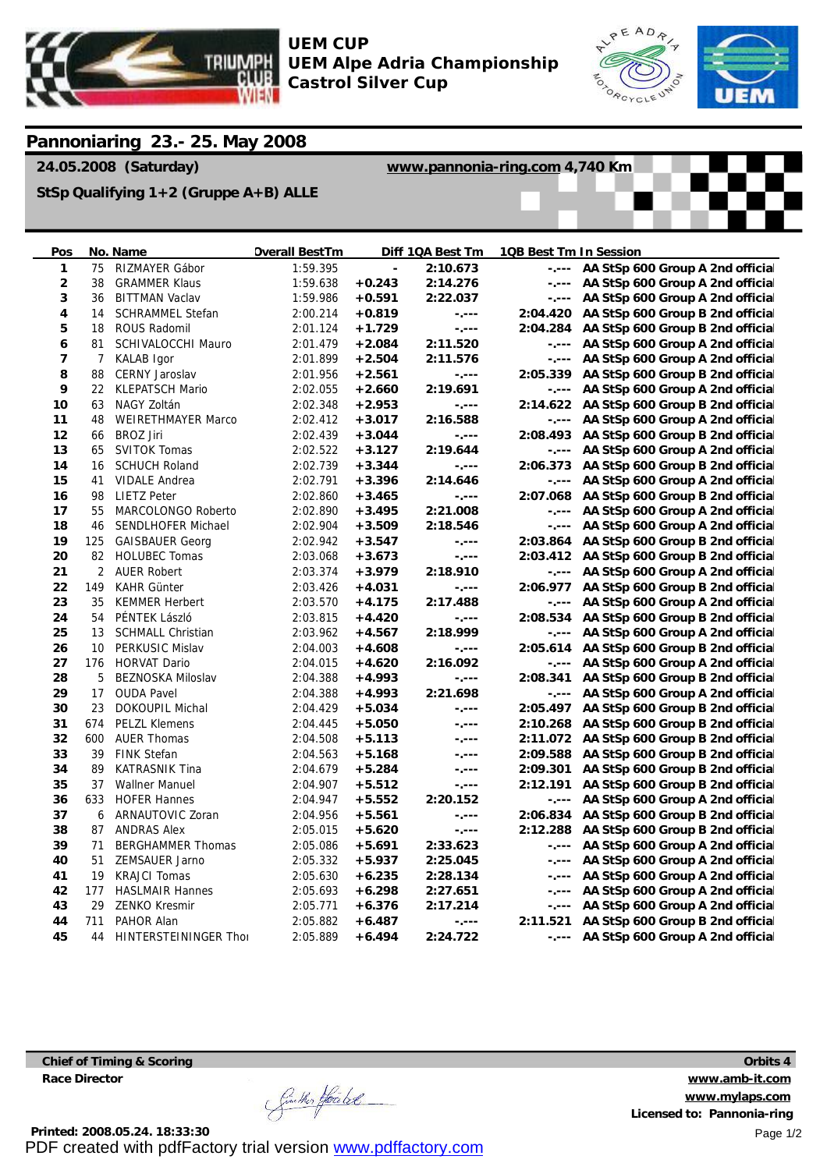

**UEM CUP UEM Alpe Adria Championship Castrol Silver Cup**



## **Pannoniaring 23.- 25. May 2008**

**24.05.2008 (Saturday)**

**[www.pannonia-ring.com](http://www.pannonia-ring.com) 4,740 Km**

**StSp Qualifying 1+2 (Gruppe A+B) ALLE**

| <u>Pos</u>     |                | No. Name                     | <b>Overall BestTm</b> |          | Diff 1QA Best Tm | 1QB Best Tm In Session |                                           |
|----------------|----------------|------------------------------|-----------------------|----------|------------------|------------------------|-------------------------------------------|
| $\mathbf{1}$   | 75             | RIZMAYER Gábor               | 1:59.395              |          | 2:10.673         |                        | -.--- AA StSp 600 Group A 2nd officia     |
| $\overline{2}$ | 38             | <b>GRAMMER Klaus</b>         | 1:59.638              | $+0.243$ | 2:14.276         |                        | -.--- AA StSp 600 Group A 2nd officia     |
| 3              | 36             | <b>BITTMAN Vaclav</b>        | 1:59.986              | $+0.591$ | 2:22.037         | $-1 - - -$             | AA StSp 600 Group A 2nd officia           |
| 4              | 14             | SCHRAMMEL Stefan             | 2:00.214              | $+0.819$ | $-1 - - -$       |                        | 2:04.420 AA StSp 600 Group B 2nd officia  |
| 5              | 18             | <b>ROUS Radomil</b>          | 2:01.124              | $+1.729$ | -.---            |                        | 2:04.284 AA StSp 600 Group B 2nd officia  |
| 6              | 81             | SCHIVALOCCHI Mauro           | 2:01.479              | $+2.084$ | 2:11.520         |                        | -.--- AA StSp 600 Group A 2nd officia     |
| 7              | 7              | <b>KALAB</b> Igor            | 2:01.899              | $+2.504$ | 2:11.576         |                        | -.--- AA StSp 600 Group A 2nd officia     |
| 8              | 88             | <b>CERNY Jaroslav</b>        | 2:01.956              | $+2.561$ | $-1 - - -$       |                        | 2:05.339 AA StSp 600 Group B 2nd officia  |
| 9              | 22             | <b>KLEPATSCH Mario</b>       | 2:02.055              | $+2.660$ | 2:19.691         |                        | -.--- AA StSp 600 Group A 2nd officia     |
| 10             | 63             | NAGY Zoltán                  | 2:02.348              | $+2.953$ | -.---            |                        | 2:14.622 AA StSp 600 Group B 2nd officia  |
| 11             | 48             | <b>WEIRETHMAYER Marco</b>    | 2:02.412              | $+3.017$ | 2:16.588         |                        | -.--- AA StSp 600 Group A 2nd officia     |
| 12             | 66             | <b>BROZ Jiri</b>             | 2:02.439              | $+3.044$ | $-1 - - -$       |                        | 2:08.493 AA StSp 600 Group B 2nd officia  |
| 13             | 65             | <b>SVITOK Tomas</b>          | 2:02.522              | $+3.127$ | 2:19.644         |                        | -.--- AA StSp 600 Group A 2nd officia     |
| 14             | 16             | <b>SCHUCH Roland</b>         | 2:02.739              | $+3.344$ | $-1 - - -$       |                        | 2:06.373 AA StSp 600 Group B 2nd officia  |
| 15             | 41             | <b>VIDALE Andrea</b>         | 2:02.791              | $+3.396$ | 2:14.646         |                        | -.--- AA StSp 600 Group A 2nd officia     |
| 16             | 98             | <b>LIETZ Peter</b>           | 2:02.860              | $+3.465$ | $-1 - - -$       |                        | 2:07.068 AA StSp 600 Group B 2nd officia  |
| 17             | 55             | <b>MARCOLONGO Roberto</b>    | 2:02.890              | $+3.495$ | 2:21.008         |                        | -.--- AA StSp 600 Group A 2nd officia     |
| 18             | 46             | <b>SENDLHOFER Michael</b>    | 2:02.904              | $+3.509$ | 2:18.546         |                        | -.--- AA StSp 600 Group A 2nd officia     |
| 19             | 125            | <b>GAISBAUER Georg</b>       | 2:02.942              | $+3.547$ | $-1 - - -$       |                        | 2:03.864 AA StSp 600 Group B 2nd official |
| 20             | 82             | <b>HOLUBEC Tomas</b>         | 2:03.068              | $+3.673$ | $-1 - - -$       |                        | 2:03.412 AA StSp 600 Group B 2nd officia  |
| 21             | $\overline{2}$ | <b>AUER Robert</b>           | 2:03.374              | $+3.979$ | 2:18.910         |                        | -.--- AA StSp 600 Group A 2nd officia     |
| 22             | 149            | <b>KAHR Günter</b>           | 2:03.426              | $+4.031$ | $-1 - - -$       |                        | 2:06.977 AA StSp 600 Group B 2nd officia  |
| 23             | 35             | <b>KEMMER Herbert</b>        | 2:03.570              | $+4.175$ | 2:17.488         |                        | -.--- AA StSp 600 Group A 2nd officia     |
| 24             | 54             | PÉNTEK László                | 2:03.815              | $+4.420$ | -.---            |                        | 2:08.534 AA StSp 600 Group B 2nd officia  |
| 25             | 13             | <b>SCHMALL Christian</b>     | 2:03.962              | $+4.567$ | 2:18.999         |                        | -.--- AA StSp 600 Group A 2nd officia     |
| 26             | 10             | <b>PERKUSIC Mislav</b>       | 2:04.003              | $+4.608$ | $-1 - - -$       |                        | 2:05.614 AA StSp 600 Group B 2nd officia  |
| 27             | 176            | <b>HORVAT Dario</b>          | 2:04.015              | $+4.620$ | 2:16.092         |                        | -.--- AA StSp 600 Group A 2nd officia     |
| 28             | 5              | <b>BEZNOSKA Miloslav</b>     | 2:04.388              | $+4.993$ | $-1 - - -$       |                        | 2:08.341 AA StSp 600 Group B 2nd officia  |
| 29             | 17             | <b>OUDA Pavel</b>            | 2:04.388              | $+4.993$ | 2:21.698         |                        | -.--- AA StSp 600 Group A 2nd officia     |
| 30             | 23             | <b>DOKOUPIL Michal</b>       | 2:04.429              | $+5.034$ | -.---            |                        | 2:05.497 AA StSp 600 Group B 2nd officia  |
| 31             | 674            | <b>PELZL Klemens</b>         | 2:04.445              | $+5.050$ | -.---            |                        | 2:10.268 AA StSp 600 Group B 2nd officia  |
| 32             | 600            | <b>AUER Thomas</b>           | 2:04.508              | $+5.113$ | $-1 - - -$       |                        | 2:11.072 AA StSp 600 Group B 2nd officia  |
| 33             | 39             | <b>FINK Stefan</b>           | 2:04.563              | $+5.168$ | -.---            |                        | 2:09.588 AA StSp 600 Group B 2nd official |
| 34             | 89             | <b>KATRASNIK Tina</b>        | 2:04.679              | $+5.284$ | $-1 - - -$       |                        | 2:09.301 AA StSp 600 Group B 2nd officia  |
| 35             | 37             | <b>Wallner Manuel</b>        | 2:04.907              | $+5.512$ | $-1 - - -$       | 2:12.191               | AA StSp 600 Group B 2nd officia           |
| 36             | 633            | <b>HOFER Hannes</b>          | 2:04.947              | $+5.552$ | 2:20.152         | Again a                | AA StSp 600 Group A 2nd officia           |
| 37             | 6              | ARNAUTOVIC Zoran             | 2:04.956              | $+5.561$ | $-1 - - -$       |                        | 2:06.834 AA StSp 600 Group B 2nd officia  |
| 38             | 87             | <b>ANDRAS Alex</b>           | 2:05.015              | $+5.620$ | $-1 - - -$       |                        | 2:12.288 AA StSp 600 Group B 2nd officia  |
| 39             | 71             | <b>BERGHAMMER Thomas</b>     | 2:05.086              | $+5.691$ | 2:33.623         |                        | -.--- AA StSp 600 Group A 2nd officia     |
| 40             | 51             | <b>ZEMSAUER Jarno</b>        | 2:05.332              | $+5.937$ | 2:25.045         |                        | -.--- AA StSp 600 Group A 2nd officia     |
| 41             | 19             | <b>KRAJCI Tomas</b>          | 2:05.630              | $+6.235$ | 2:28.134         |                        | -.--- AA StSp 600 Group A 2nd officia     |
| 42             | 177            | <b>HASLMAIR Hannes</b>       | 2:05.693              | $+6.298$ | 2:27.651         |                        | -.--- AA StSp 600 Group A 2nd officia     |
| 43             | 29             | <b>ZENKO Kresmir</b>         | 2:05.771              | $+6.376$ | 2:17.214         |                        | -.--- AA StSp 600 Group A 2nd officia     |
| 44             | 711            | PAHOR Alan                   | 2:05.882              | $+6.487$ | $-1 - - -$       |                        | 2:11.521 AA StSp 600 Group B 2nd officia  |
| 45             | 44             | <b>HINTERSTEININGER Thor</b> | 2:05.889              | $+6.494$ | 2:24.722         |                        | -.--- AA StSp 600 Group A 2nd officia     |

**Chief of Timing & Scoring Race Director**

Sincher Houble

**Orbits 4 [www.amb-it.com](http://www.amb-it.com) [www.mylaps.com](http://www.mylaps.com) Licensed to: Pannonia-ring** Page 1/2

**Printed: 2008.05.24. 18:33:30** PDF created with pdfFactory trial version [www.pdffactory.com](http://www.pdffactory.com)